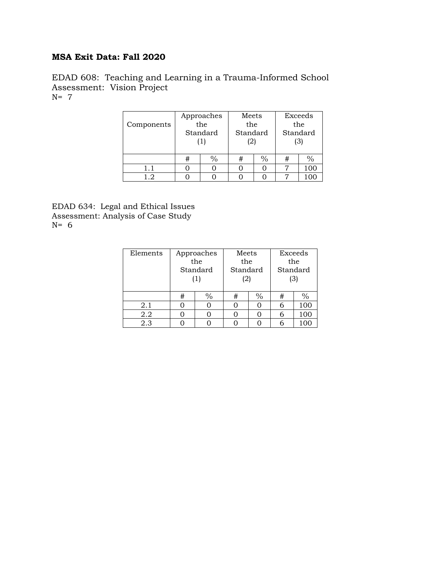## **MSA Exit Data: Fall 2020**

EDAD 608: Teaching and Learning in a Trauma-Informed School Assessment: Vision Project N= 7

| Components | Approaches<br>the<br>Standard |               | Meets<br>the<br>Standard<br>(2) |  | Exceeds<br>the<br>Standard<br>(3) |               |
|------------|-------------------------------|---------------|---------------------------------|--|-----------------------------------|---------------|
|            | #                             | $\frac{0}{0}$ | #                               |  | #                                 | $\frac{0}{0}$ |
| 1.1        |                               |               |                                 |  |                                   | 100           |
| 12         |                               |               |                                 |  |                                   |               |

EDAD 634: Legal and Ethical Issues Assessment: Analysis of Case Study N= 6

| Elements | Approaches<br>the<br>Standard<br>(1) |               | Meets<br>the<br>Standard<br>(2) |               | Exceeds<br>the<br>Standard<br>(3) |     |
|----------|--------------------------------------|---------------|---------------------------------|---------------|-----------------------------------|-----|
|          | #                                    | $\frac{0}{0}$ | #                               | $\frac{0}{0}$ | #                                 |     |
| 2.1      |                                      |               |                                 |               |                                   | 100 |
| 2.2      |                                      |               |                                 |               |                                   | 100 |
| 2.3      |                                      |               |                                 |               |                                   |     |